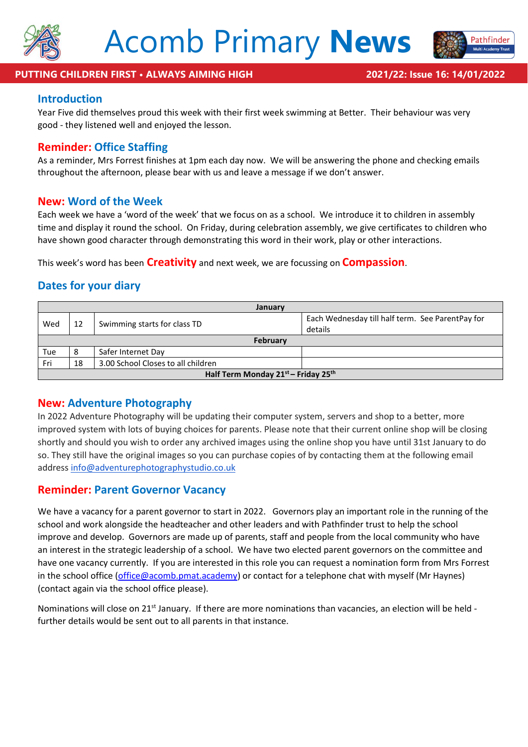



athfinder

# **Introduction**

Year Five did themselves proud this week with their first week swimming at Better. Their behaviour was very good - they listened well and enjoyed the lesson.

## **Reminder: Office Staffing**

As a reminder, Mrs Forrest finishes at 1pm each day now. We will be answering the phone and checking emails throughout the afternoon, please bear with us and leave a message if we don't answer.

## **New: Word of the Week**

Each week we have a 'word of the week' that we focus on as a school. We introduce it to children in assembly time and display it round the school. On Friday, during celebration assembly, we give certificates to children who have shown good character through demonstrating this word in their work, play or other interactions.

This week's word has been **Creativity** and next week, we are focussing on **Compassion**.

# **Dates for your diary**

| January                                                     |    |                                    |                                                             |
|-------------------------------------------------------------|----|------------------------------------|-------------------------------------------------------------|
| Wed                                                         | 12 | Swimming starts for class TD       | Each Wednesday till half term. See ParentPay for<br>details |
| <b>February</b>                                             |    |                                    |                                                             |
| Tue                                                         | 8  | Safer Internet Day                 |                                                             |
| Fri                                                         | 18 | 3.00 School Closes to all children |                                                             |
| Half Term Monday 21 <sup>st</sup> - Friday 25 <sup>th</sup> |    |                                    |                                                             |

# **New: Adventure Photography**

In 2022 Adventure Photography will be updating their computer system, servers and shop to a better, more improved system with lots of buying choices for parents. Please note that their current online shop will be closing shortly and should you wish to order any archived images using the online shop you have until 31st January to do so. They still have the original images so you can purchase copies of by contacting them at the following email address [info@adventurephotographystudio.co.uk](mailto:info@adventurephotographystudio.co.uk)

# **Reminder: Parent Governor Vacancy**

We have a vacancy for a parent governor to start in 2022. Governors play an important role in the running of the school and work alongside the headteacher and other leaders and with Pathfinder trust to help the school improve and develop. Governors are made up of parents, staff and people from the local community who have an interest in the strategic leadership of a school. We have two elected parent governors on the committee and have one vacancy currently. If you are interested in this role you can request a nomination form from Mrs Forrest in the school office [\(office@acomb.pmat.academy\)](mailto:office@acomb.pmat.academy) or contact for a telephone chat with myself (Mr Haynes) (contact again via the school office please).

Nominations will close on 21<sup>st</sup> January. If there are more nominations than vacancies, an election will be held further details would be sent out to all parents in that instance.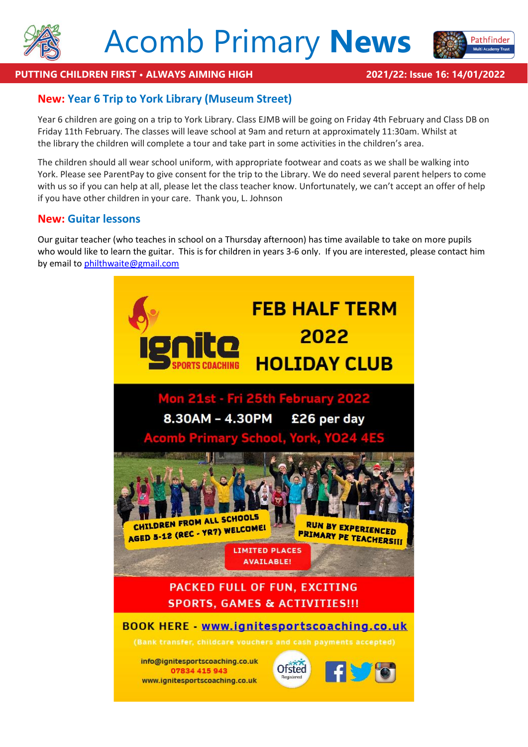



# **PUTTING CHILDREN FIRST • ALWAYS AIMING HIGH 2021/22: Issue 16: 14/01/2022**

# **New: Year 6 Trip to York Library (Museum Street)**

Year 6 children are going on a trip to York Library. Class EJMB will be going on Friday 4th February and Class DB on Friday 11th February. The classes will leave school at 9am and return at approximately 11:30am. Whilst at the library the children will complete a tour and take part in some activities in the children's area.

The children should all wear school uniform, with appropriate footwear and coats as we shall be walking into York. Please see ParentPay to give consent for the trip to the Library. We do need several parent helpers to come with us so if you can help at all, please let the class teacher know. Unfortunately, we can't accept an offer of help if you have other children in your care. Thank you, L. Johnson

## **New: Guitar lessons**

Our guitar teacher (who teaches in school on a Thursday afternoon) has time available to take on more pupils who would like to learn the guitar. This is for children in years 3-6 only. If you are interested, please contact him by email to [philthwaite@gmail.com](mailto:philthwaite@gmail.com)